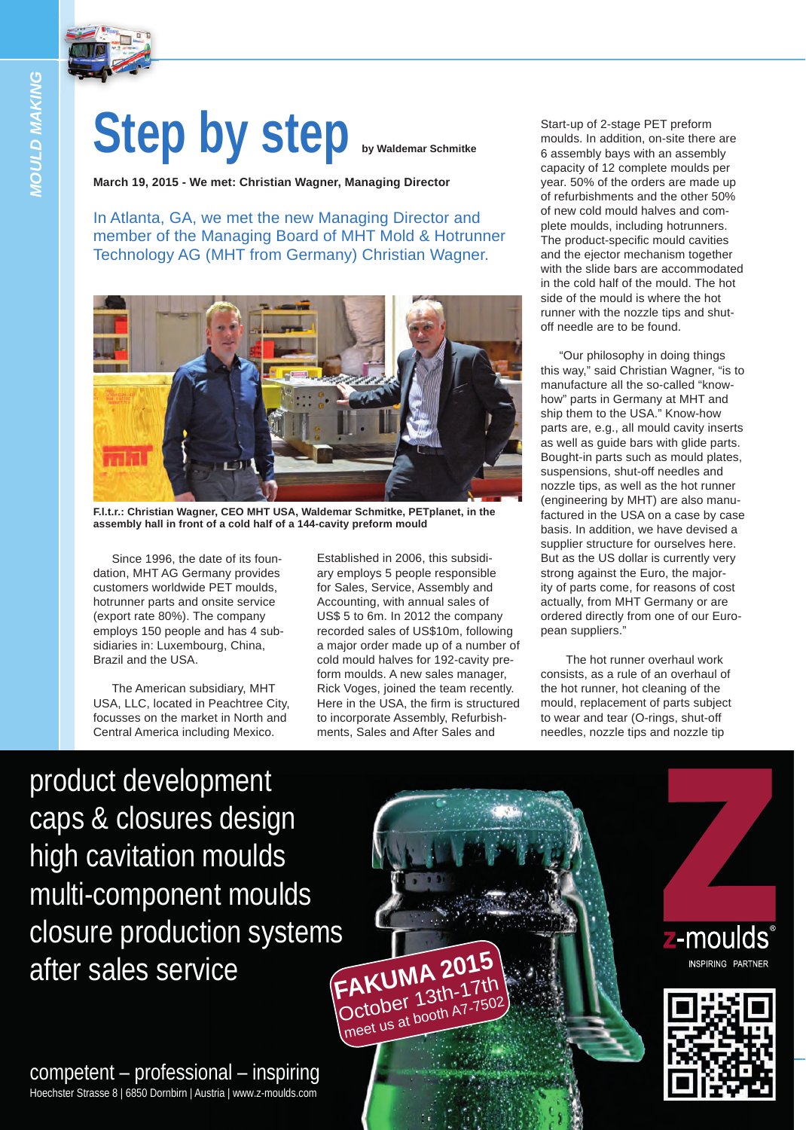

*MOULD MAKING*

*NOULD MAKING* 

## Step by step **by Step by Waldemar Schmitke**

**March 19, 2015 - We met: Christian Wagner, Managing Director**

In Atlanta, GA, we met the new Managing Director and member of the Managing Board of MHT Mold & Hotrunner Technology AG (MHT from Germany) Christian Wagner.



**F.l.t.r.: Christian Wagner, CEO MHT USA, Waldemar Schmitke, PETplanet, in the assembly hall in front of a cold half of a 144-cavity preform mould**

Since 1996, the date of its foundation, MHT AG Germany provides customers worldwide PET moulds, hotrunner parts and onsite service (export rate 80%). The company employs 150 people and has 4 subsidiaries in: Luxembourg, China, Brazil and the USA.

The American subsidiary, MHT USA, LLC, located in Peachtree City, focusses on the market in North and Central America including Mexico.

Established in 2006, this subsidiary employs 5 people responsible for Sales, Service, Assembly and Accounting, with annual sales of US\$ 5 to 6m. In 2012 the company recorded sales of US\$10m, following a major order made up of a number of cold mould halves for 192-cavity preform moulds. A new sales manager, Rick Voges, joined the team recently. Here in the USA, the firm is structured to incorporate Assembly, Refurbishments, Sales and After Sales and

meet us at booth A7

Start-up of 2-stage PET preform moulds. In addition, on-site there are 6 assembly bays with an assembly capacity of 12 complete moulds per year. 50% of the orders are made up of refurbishments and the other 50% of new cold mould halves and complete moulds, including hotrunners. The product-specific mould cavities and the ejector mechanism together with the slide bars are accommodated in the cold half of the mould. The hot side of the mould is where the hot runner with the nozzle tips and shutoff needle are to be found.

"Our philosophy in doing things this way," said Christian Wagner, "is to manufacture all the so-called "knowhow" parts in Germany at MHT and ship them to the USA." Know-how parts are, e.g., all mould cavity inserts as well as guide bars with glide parts. Bought-in parts such as mould plates, suspensions, shut-off needles and nozzle tips, as well as the hot runner (engineering by MHT) are also manufactured in the USA on a case by case basis. In addition, we have devised a supplier structure for ourselves here. But as the US dollar is currently very strong against the Euro, the majority of parts come, for reasons of cost actually, from MHT Germany or are ordered directly from one of our European suppliers."

 The hot runner overhaul work consists, as a rule of an overhaul of the hot runner, hot cleaning of the mould, replacement of parts subject to wear and tear (O-rings, shut-off needles, nozzle tips and nozzle tip

product development caps & closures design high cavitation moulds multi-component moulds [closure production systems](http://www.z-moulds.com) after sales service **FAKUMA 201<sup>5</sup>** October 13th-1